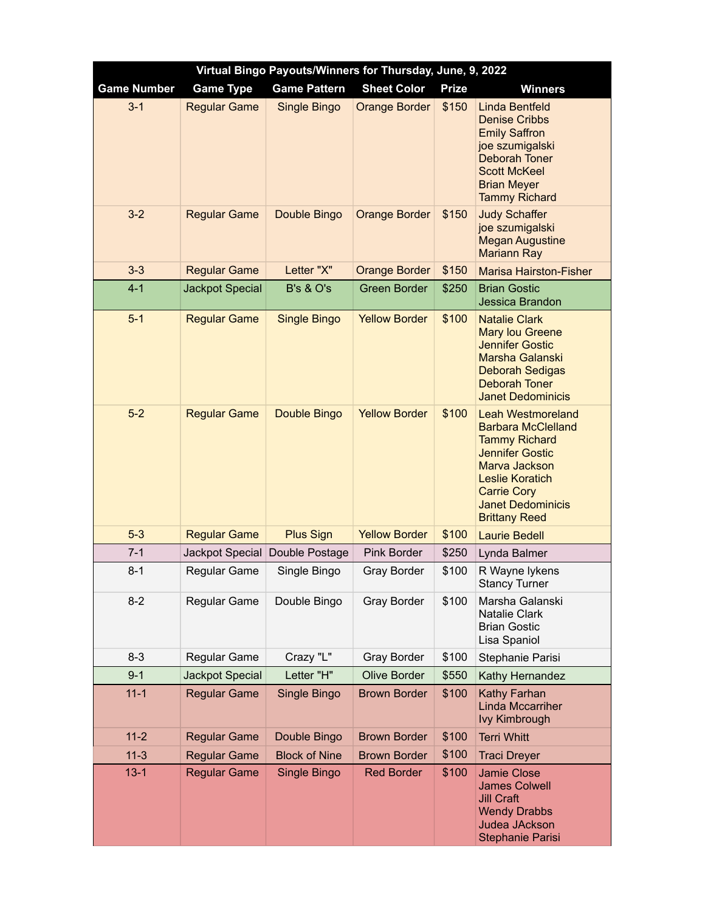| Virtual Bingo Payouts/Winners for Thursday, June, 9, 2022 |                        |                      |                      |              |                                                                                                                                                                                                                              |  |  |  |
|-----------------------------------------------------------|------------------------|----------------------|----------------------|--------------|------------------------------------------------------------------------------------------------------------------------------------------------------------------------------------------------------------------------------|--|--|--|
| <b>Game Number</b>                                        | <b>Game Type</b>       | <b>Game Pattern</b>  | <b>Sheet Color</b>   | <b>Prize</b> | <b>Winners</b>                                                                                                                                                                                                               |  |  |  |
| $3 - 1$                                                   | <b>Regular Game</b>    | Single Bingo         | <b>Orange Border</b> | \$150        | <b>Linda Bentfeld</b><br><b>Denise Cribbs</b><br><b>Emily Saffron</b><br>joe szumigalski<br><b>Deborah Toner</b><br><b>Scott McKeel</b><br><b>Brian Meyer</b><br><b>Tammy Richard</b>                                        |  |  |  |
| $3 - 2$                                                   | <b>Regular Game</b>    | Double Bingo         | <b>Orange Border</b> | \$150        | <b>Judy Schaffer</b><br>joe szumigalski<br><b>Megan Augustine</b><br><b>Mariann Ray</b>                                                                                                                                      |  |  |  |
| $3 - 3$                                                   | <b>Regular Game</b>    | Letter "X"           | <b>Orange Border</b> | \$150        | <b>Marisa Hairston-Fisher</b>                                                                                                                                                                                                |  |  |  |
| $4 - 1$                                                   | <b>Jackpot Special</b> | <b>B's &amp; O's</b> | <b>Green Border</b>  | \$250        | <b>Brian Gostic</b><br>Jessica Brandon                                                                                                                                                                                       |  |  |  |
| $5-1$                                                     | <b>Regular Game</b>    | <b>Single Bingo</b>  | <b>Yellow Border</b> | \$100        | <b>Natalie Clark</b><br><b>Mary lou Greene</b><br><b>Jennifer Gostic</b><br>Marsha Galanski<br><b>Deborah Sedigas</b><br><b>Deborah Toner</b><br><b>Janet Dedominicis</b>                                                    |  |  |  |
| $5-2$                                                     | <b>Regular Game</b>    | Double Bingo         | <b>Yellow Border</b> | \$100        | <b>Leah Westmoreland</b><br><b>Barbara McClelland</b><br><b>Tammy Richard</b><br><b>Jennifer Gostic</b><br>Marva Jackson<br><b>Leslie Koratich</b><br><b>Carrie Cory</b><br><b>Janet Dedominicis</b><br><b>Brittany Reed</b> |  |  |  |
| $5-3$                                                     | <b>Regular Game</b>    | <b>Plus Sign</b>     | <b>Yellow Border</b> | \$100        | <b>Laurie Bedell</b>                                                                                                                                                                                                         |  |  |  |
| $7 - 1$                                                   | Jackpot Special        | Double Postage       | <b>Pink Border</b>   | \$250        | Lynda Balmer                                                                                                                                                                                                                 |  |  |  |
| $8 - 1$                                                   | <b>Regular Game</b>    | Single Bingo         | Gray Border          | \$100        | R Wayne lykens<br><b>Stancy Turner</b>                                                                                                                                                                                       |  |  |  |
| $8 - 2$                                                   | Regular Game           | Double Bingo         | Gray Border          | \$100        | Marsha Galanski<br><b>Natalie Clark</b><br><b>Brian Gostic</b><br>Lisa Spaniol                                                                                                                                               |  |  |  |
| $8 - 3$                                                   | Regular Game           | Crazy "L"            | Gray Border          | \$100        | Stephanie Parisi                                                                                                                                                                                                             |  |  |  |
| $9 - 1$                                                   | Jackpot Special        | Letter "H"           | <b>Olive Border</b>  | \$550        | Kathy Hernandez                                                                                                                                                                                                              |  |  |  |
| $11 - 1$                                                  | <b>Regular Game</b>    | Single Bingo         | <b>Brown Border</b>  | \$100        | Kathy Farhan<br><b>Linda Mccarriher</b><br><b>Ivy Kimbrough</b>                                                                                                                                                              |  |  |  |
| $11 - 2$                                                  | <b>Regular Game</b>    | Double Bingo         | <b>Brown Border</b>  | \$100        | <b>Terri Whitt</b>                                                                                                                                                                                                           |  |  |  |
| $11-3$                                                    | <b>Regular Game</b>    | <b>Block of Nine</b> | <b>Brown Border</b>  | \$100        | <b>Traci Dreyer</b>                                                                                                                                                                                                          |  |  |  |
| $13 - 1$                                                  | <b>Regular Game</b>    | Single Bingo         | <b>Red Border</b>    | \$100        | Jamie Close<br><b>James Colwell</b><br><b>Jill Craft</b><br><b>Wendy Drabbs</b><br><b>Judea JAckson</b><br><b>Stephanie Parisi</b>                                                                                           |  |  |  |